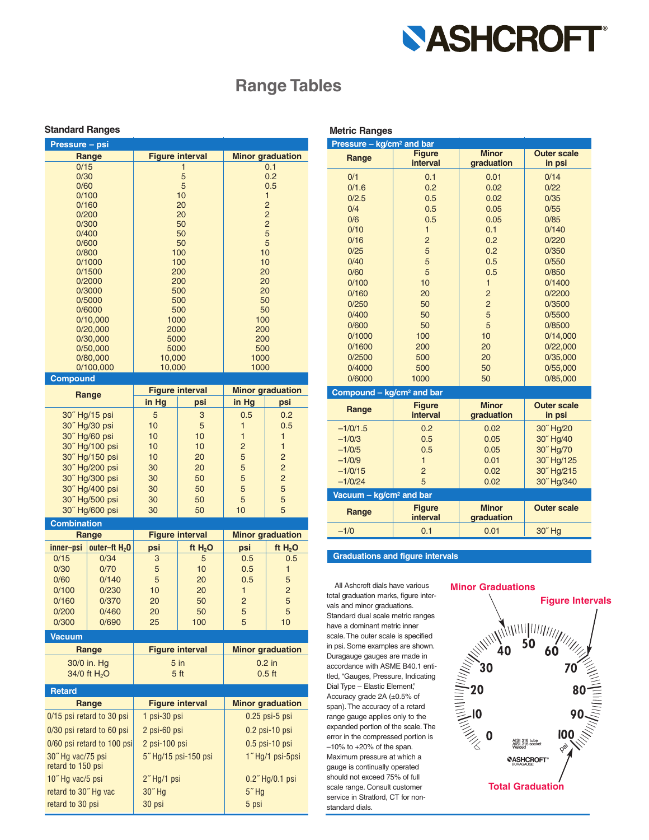

## **Range Tables**

### **Standard Ranges Metric Ranges Metric Ranges**

| Pressure - psi |                        |                         |
|----------------|------------------------|-------------------------|
| Range          | <b>Figure interval</b> | <b>Minor graduation</b> |
| 0/15           |                        | 0.1                     |
| 0/30           | 5                      | 0.2                     |
| 0/60           | 5                      | 0.5                     |
| 0/100          | 10                     | 1                       |
| 0/160          | 20                     | $\overline{2}$          |
| 0/200          | 20                     | $\overline{2}$          |
| 0/300          | 50                     | $\overline{2}$          |
| 0/400          | 50                     | 5                       |
| 0/600          | 50                     | 5                       |
| 0/800          | 100                    | 10                      |
| 0/1000         | 100                    | 10                      |
| 0/1500         | 200                    | 20                      |
| 0/2000         | 200                    | 20                      |
| 0/3000         | 500                    | 20                      |
| 0/5000         | 500                    | 50                      |
| 0/6000         | 500                    | 50                      |
| 0/10,000       | 1000                   | 100                     |
| 0/20,000       | 2000                   | 200                     |
| 0/30,000       | 5000                   | 200                     |
| 0/50,000       | 5000                   | 500                     |
| 0/80,000       | 10,000                 | 1000                    |
| 0/100,000      | 10,000                 | 1000                    |
| Compound       |                        |                         |

| Range              |                 | <b>Figure interval</b> |           | <b>Minor graduation</b> |                |
|--------------------|-----------------|------------------------|-----------|-------------------------|----------------|
|                    |                 | in Hg                  | psi       | in Hg                   | psi            |
| 30" Hg/15 psi      |                 | 5                      | 3         | 0.5                     | 0.2            |
|                    | 30" Hg/30 psi   | 10                     | 5         | 1                       | 0.5            |
|                    | 30" Hg/60 psi   | 10                     | 10        | $\mathbf{1}$            | $\mathbf{1}$   |
|                    | 30" Hg/100 psi  | 10                     | 10        | $\overline{2}$          | $\mathbf{1}$   |
|                    | 30" Hg/150 psi  | 10                     | 20        | 5                       | $\overline{2}$ |
| 30" Hg/200 psi     |                 | 30                     | 20        | 5                       | $\overline{2}$ |
| 30" Hg/300 psi     |                 | 30                     | 50        | 5                       | $\overline{2}$ |
| 30" Hg/400 psi     |                 | 30                     | 50        | 5                       | 5              |
| 30" Hg/500 psi     |                 | 30                     | 50        | 5                       | 5              |
| 30" Hg/600 psi     |                 | 30                     | 50        | 10                      | 5              |
| <b>Combination</b> |                 |                        |           |                         |                |
| Range              |                 | <b>Figure interval</b> |           | <b>Minor graduation</b> |                |
| inner-psi          | outer-ft $H_2O$ | psi                    | ft $H_2O$ | psi                     | ft $H_2O$      |
| 0/15               | 0/34            | 3                      | 5         | 0.5                     | 0.5            |
| 0/30               | 0/70            | 5                      | 10        | 0.5                     | $\mathbf{1}$   |
| 0/60               | 0/140           | 5                      | 20        | 0.5                     | 5              |
| 0/100              | 0/230           | 10                     | 20        | $\mathbf{1}$            | $\overline{2}$ |
| 0/160              | 0/370           | 20                     | 50        | $\overline{2}$          | 5              |
| 0/200              | 0/460           | 20                     | 50        | 5                       | 5              |
| 0/300              | 0/690           | 25                     | 100       | 5                       | 10             |
| <b>Vacuum</b>      |                 |                        |           |                         |                |
| Range              |                 | <b>Figure interval</b> |           |                         |                |

| 30/0 in. Hg<br>34/0 ft H <sub>2</sub> O | $5$ in<br>5 <sub>ft</sub> | $0.2$ in<br>$0.5$ ft    |  |
|-----------------------------------------|---------------------------|-------------------------|--|
| <b>Retard</b>                           |                           |                         |  |
| Range                                   | <b>Figure interval</b>    | <b>Minor graduation</b> |  |
| 0/15 psi retard to 30 psi               | 1 psi-30 psi              | $0.25$ psi- $5$ psi     |  |
| 0/30 psi retard to 60 psi               | 2 psi-60 psi              | $0.2$ psi-10 psi        |  |
| 0/60 psi retard to 100 psi              | 2 psi-100 psi             | $0.5$ psi-10 psi        |  |
| 30" Hg vac/75 psi<br>retard to 150 psi  | 5" Hg/15 psi-150 psi      | 1" Hg/1 psi-5psi        |  |
| 10"Hg vac/5 psi                         | $2$ "Hg/1 psi             | $0.2$ " Hg/0.1 psi      |  |
| retard to 30" Hg vac                    | $307$ Hg                  | $57$ Hg                 |  |
| retard to 30 psi                        | 30 psi                    | 5 psi                   |  |

| Pressure - kg/cm <sup>2</sup> and bar |                                  |                            |                              |  |
|---------------------------------------|----------------------------------|----------------------------|------------------------------|--|
| Range                                 | <b>Figure</b><br><b>interval</b> | <b>Minor</b><br>graduation | <b>Outer scale</b><br>in psi |  |
| 0/1                                   | 0.1                              | 0.01                       | 0/14                         |  |
| 0/1.6                                 | 0.2                              | 0.02                       | 0/22                         |  |
| 0/2.5                                 | 0.5                              | 0.02                       | 0/35                         |  |
| 0/4                                   | 0.5                              | 0.05                       | 0/55                         |  |
| 0/6                                   | 0.5                              | 0.05                       | 0/85                         |  |
| 0/10                                  | $\mathbf{1}$                     | 0.1                        | 0/140                        |  |
| 0/16                                  | $\overline{2}$                   | 0.2                        | 0/220                        |  |
| 0/25                                  | 5                                | 0.2                        | 0/350                        |  |
| 0/40                                  | 5                                | 0.5                        | 0/550                        |  |
| 0/60                                  | 5                                | 0.5                        | 0/850                        |  |
| 0/100                                 | 10                               | $\mathbf{1}$               | 0/1400                       |  |
| 0/160                                 | 20                               | $\overline{2}$             | 0/2200                       |  |
| 0/250                                 | 50                               | $\overline{c}$             | 0/3500                       |  |
| 0/400                                 | 50                               | 5                          | 0/5500                       |  |
| 0/600                                 | 50                               | 5                          | 0/8500                       |  |
| 0/1000                                | 100                              | 10                         | 0/14,000                     |  |
| 0/1600                                | 200                              | 20                         | 0/22,000                     |  |
| 0/2500                                | 500                              | 20<br>50                   | 0/35,000                     |  |
| 0/4000<br>0/6000                      | 500<br>1000                      | 50                         | 0/55,000<br>0/85,000         |  |
|                                       |                                  |                            |                              |  |
| Compound - kg/cm <sup>2</sup> and bar |                                  |                            |                              |  |
| Range                                 | <b>Figure</b><br>interval        | <b>Minor</b><br>graduation | <b>Outer scale</b><br>in psi |  |
| $-1/0/1.5$                            | 0.2                              | 0.02                       | 30" Hg/20                    |  |
| $-1/0/3$                              | 0.5                              | 0.05                       | 30" Hg/40                    |  |
| $-1/0/5$                              | 0.5                              | 0.05                       | 30" Hg/70                    |  |
| $-1/0/9$                              | $\mathbf{1}$                     | 0.01                       | 30" Hg/125                   |  |
| $-1/0/15$                             | $\overline{2}$                   | 0.02                       | 30" Hg/215                   |  |
| $-1/0/24$                             | 5                                | 0.02                       | 30" Hg/340                   |  |
| Vacuum - kg/cm <sup>2</sup> and bar   |                                  |                            |                              |  |
| Range                                 | <b>Figure</b><br>interval        | <b>Minor</b><br>graduation | <b>Outer scale</b>           |  |
| $-1/0$                                | 0.1                              | 0.01                       | 30" Hg                       |  |

### **Graduations and figure intervals**

All Ashcroft dials have various total graduation marks, figure intervals and minor graduations. Standard dual scale metric ranges have a dominant metric inner scale. The outer scale is specified in psi. Some examples are shown. Duragauge gauges are made in accordance with ASME B40.1 entitled, "Gauges, Pressure, Indicating Dial Type – Elastic Element," Accuracy grade 2A (±0.5% of span). The accuracy of a retard range gauge applies only to the expanded portion of the scale. The error in the compressed portion is  $-10\%$  to  $+20\%$  of the span. Maximum pressure at which a gauge is continually operated should not exceed 75% of full scale range. Consult customer service in Stratford, CT for nonstandard dials.